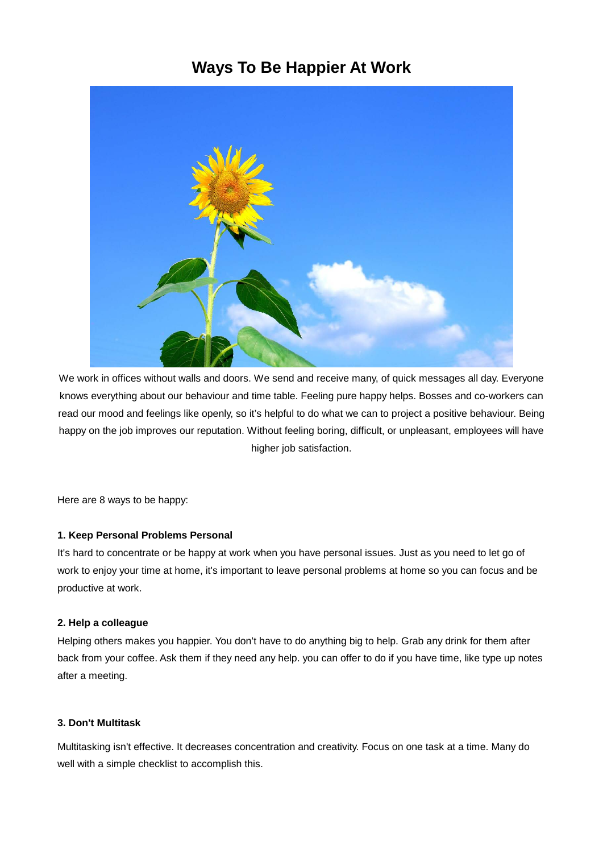# **Ways To Be Happier At Work**



We work in offices without walls and doors. We send and receive many, of quick messages all day. Everyone knows everything about our behaviour and time table. Feeling pure happy helps. Bosses and co-workers can read our mood and feelings like openly, so it's helpful to do what we can to project a positive behaviour. Being happy on the job improves our reputation. Without feeling boring, difficult, or unpleasant, employees will have higher job satisfaction.

Here are 8 ways to be happy:

### **1. Keep Personal Problems Personal**

It's hard to concentrate or be happy at work when you have personal issues. Just as you need to let go of work to enjoy your time at home, it's important to leave personal problems at home so you can focus and be productive at work.

#### **2. Help a colleague**

Helping others makes you happier. You don't have to do anything big to help. Grab any drink for them after back from your coffee. Ask them if they need any help. you can offer to do if you have time, like type up notes after a meeting.

### **3. Don't Multitask**

Multitasking isn't effective. It decreases concentration and creativity. Focus on one task at a time. Many do well with a simple checklist to accomplish this.